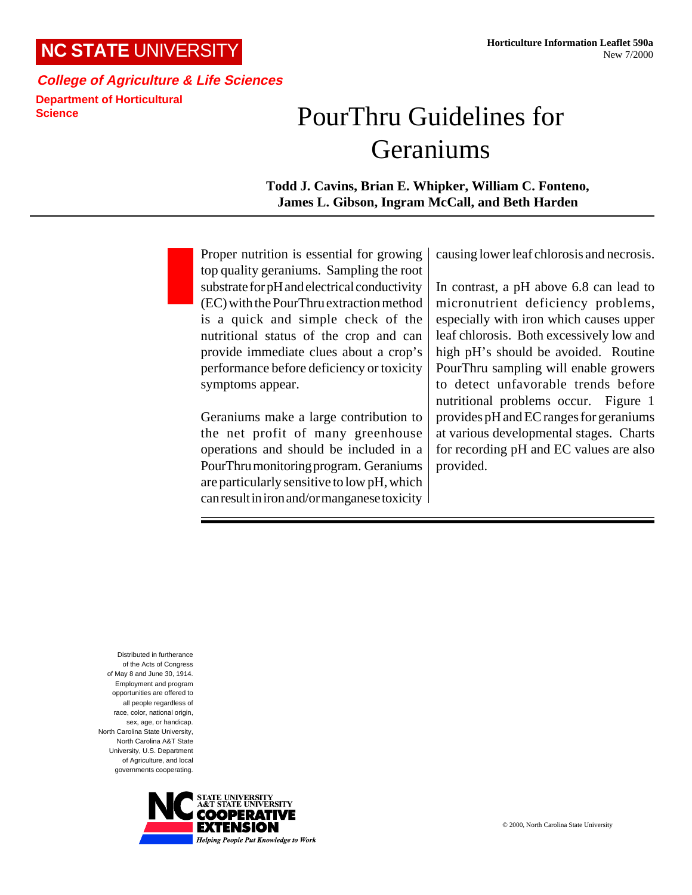## **NC STATE** UNIVERSITY

## **College of Agriculture & Life Sciences Department of Horticultural Science**

## PourThru Guidelines for Geraniums

**Todd J. Cavins, Brian E. Whipker, William C. Fonteno, James L. Gibson, Ingram McCall, and Beth Harden**

Proper nutrition is essential for growing top quality geraniums. Sampling the root substrate for pH and electrical conductivity (EC) with the PourThru extraction method is a quick and simple check of the nutritional status of the crop and can provide immediate clues about a crop's performance before deficiency or toxicity symptoms appear.

Geraniums make a large contribution to the net profit of many greenhouse operations and should be included in a PourThru monitoring program. Geraniums are particularly sensitive to low pH, which can result in iron and/or manganese toxicity causing lower leaf chlorosis and necrosis.

In contrast, a pH above 6.8 can lead to micronutrient deficiency problems, especially with iron which causes upper leaf chlorosis. Both excessively low and high pH's should be avoided. Routine PourThru sampling will enable growers to detect unfavorable trends before nutritional problems occur. Figure 1 provides pH and EC ranges for geraniums at various developmental stages. Charts for recording pH and EC values are also provided.

Distributed in furtherance of the Acts of Congress of May 8 and June 30, 1914. Employment and program opportunities are offered to all people regardless of race, color, national origin, sex, age, or handicap. North Carolina State University, North Carolina A&T State University, U.S. Department of Agriculture, and local governments cooperating.

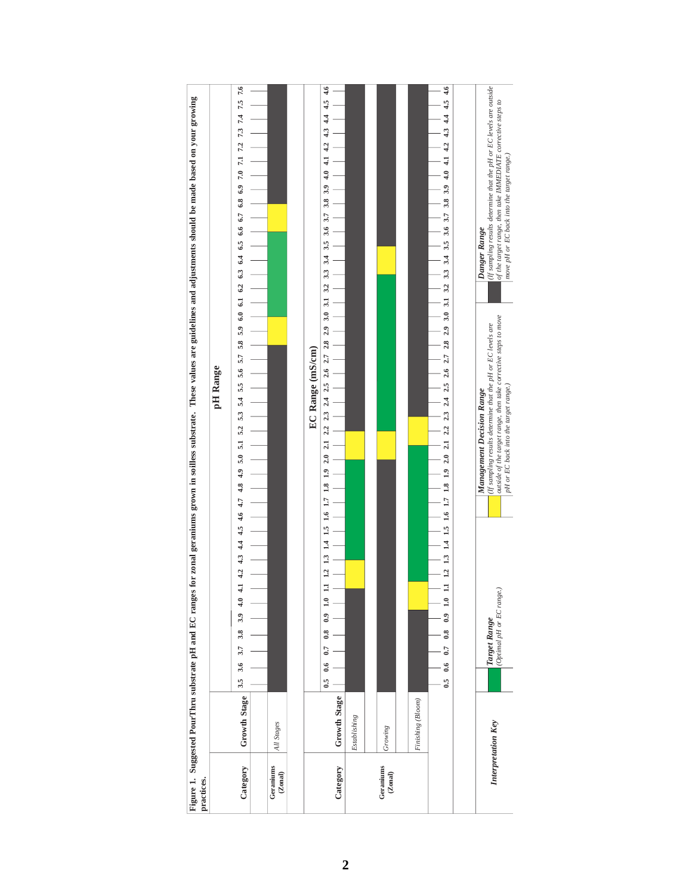| practices.           |                     | for zonal geraniums grown in soilless substrate. These values are guidelines and adjustments should be made based on your growing<br>Figure 1. Suggested PourThru substrate pH and EC ranges                                                                                                                                                                                                                                                           |                                 |
|----------------------|---------------------|--------------------------------------------------------------------------------------------------------------------------------------------------------------------------------------------------------------------------------------------------------------------------------------------------------------------------------------------------------------------------------------------------------------------------------------------------------|---------------------------------|
|                      |                     | pH Range                                                                                                                                                                                                                                                                                                                                                                                                                                               |                                 |
| Category             | <b>Growth Stage</b> | 5.9 6.0 6.1 6.2 6.3 6.4 6.5 6.6 6.7 6.8 6.9 7.0 7.1 7.2 7.3 7.4 7.5 7.6<br>5.8<br>5.7<br>5.6<br>5.3 5.4 5.5<br>5.2<br>5.0 5.1<br>43 44 45 46 47 48 49<br>4.2<br>4.0<br>3.9<br>3.8<br>3.7<br>3.6<br>$3.5\phantom{0}$                                                                                                                                                                                                                                    |                                 |
|                      |                     |                                                                                                                                                                                                                                                                                                                                                                                                                                                        |                                 |
| Geraniums<br>(Zonal) | All Stages          |                                                                                                                                                                                                                                                                                                                                                                                                                                                        |                                 |
|                      |                     |                                                                                                                                                                                                                                                                                                                                                                                                                                                        |                                 |
|                      |                     | EC Range (mS/cm)                                                                                                                                                                                                                                                                                                                                                                                                                                       |                                 |
| Category             | Growth Stage        | 3<br>4.0<br>3.9<br>3.8<br>3.7<br>3.6<br>3.5<br>3.4<br>3.3<br>3.2<br>31<br>3.0<br>$2.8$ $2.9$<br>2.62.7<br>2.425<br>$23 \,$<br>$\frac{2.2}{\pi}$<br>21<br>2.0<br>$\frac{1}{2}$<br>$\frac{8}{10}$<br>1.7<br>$\frac{6}{10}$<br>$\frac{15}{2}$<br>$\overline{14}$<br>$\mathbf{1}^3$<br>$\overline{12}$<br>$\mathbf{r}$<br>$_{0.9}$<br>$\ddot{0.8}$<br>0.7<br>6.6<br>6.5                                                                                    | 4.6<br>4.5<br>4.4<br>4.3<br>4.2 |
|                      | Establishing        |                                                                                                                                                                                                                                                                                                                                                                                                                                                        |                                 |
|                      |                     |                                                                                                                                                                                                                                                                                                                                                                                                                                                        |                                 |
| Geraniums<br>(Zonal) | Growing             |                                                                                                                                                                                                                                                                                                                                                                                                                                                        |                                 |
|                      |                     |                                                                                                                                                                                                                                                                                                                                                                                                                                                        |                                 |
|                      | Finishing (Bloom)   |                                                                                                                                                                                                                                                                                                                                                                                                                                                        |                                 |
|                      |                     | $3.7$ 3.8 3.9 4.0 4.1 4.2 4.3 4.4<br>3.6<br>3.3 3.4 3.5<br>2.6 2.7 2.8 2.9 3.0 3.1 3.2<br>$2.3$ $2.4$ $2.5$<br>11 12 13 14 15 16 17 18 19 20 21 22<br>1.0<br>$\ddot{0}$<br>0.8<br>0.7<br>$\ddot{\phantom{0}}$<br>$\ddot{\phantom{0}}$                                                                                                                                                                                                                  | 4.54.6                          |
|                      |                     |                                                                                                                                                                                                                                                                                                                                                                                                                                                        |                                 |
|                      | Interpretation Key  | (If sampling results determine that the pH or EC levels are outside)<br>of the target range, then take IMMEDIATE corrective steps to<br>move pH or EC back into the target range.)<br>Danger Range<br>outside of the target range, then take corrective steps to move<br>(If sampling results determine that the pH or EC levels are<br>pH or EC back into the target range.)<br>Management Decision Range<br>(Optimal pH or EC range.<br>Target Range |                                 |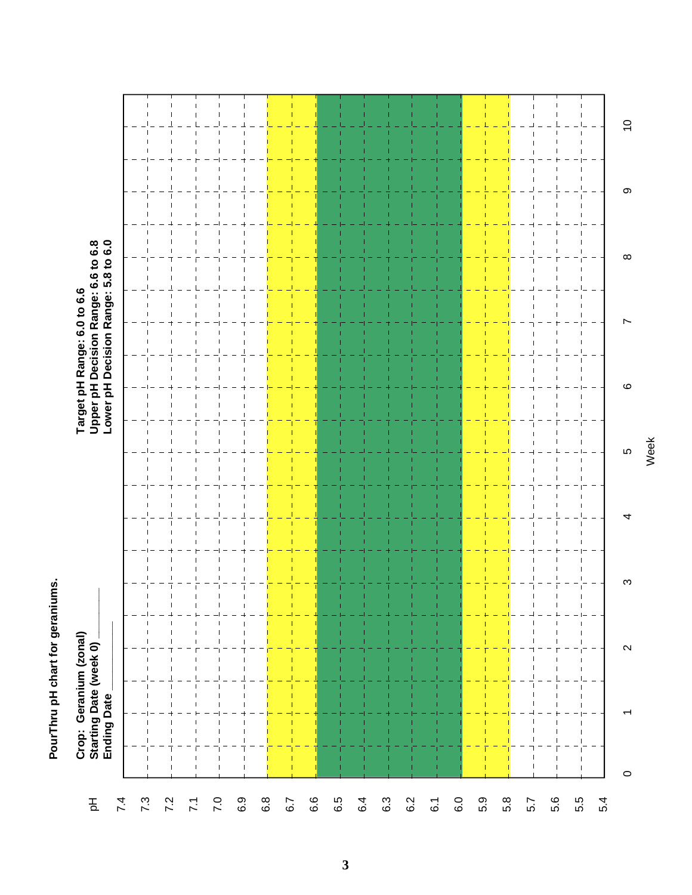PourThru pH chart for geraniums. **PourThru pH chart for geraniums.**

| $\overline{C}$<br>$\mathbf{\circ}$<br>$\infty$<br>Ľ<br>$\circ$<br>LO<br>4<br>S<br>T.<br>т<br>$\boldsymbol{\sim}$<br>$\mathbf{I}$<br>$\overline{\phantom{a}}$<br>т<br>ī<br>- I | Crop: Geranium (zonal)<br>Starting Date (week 0)<br><b>Ending Date</b> | Target pH Range: 6.0 to 6.6<br>Upper pH Decision Range: 6.6 to 6.8<br>Lower pH Decision Range: 5.8 to 6.0 |  |  |
|-------------------------------------------------------------------------------------------------------------------------------------------------------------------------------|------------------------------------------------------------------------|-----------------------------------------------------------------------------------------------------------|--|--|
|                                                                                                                                                                               |                                                                        |                                                                                                           |  |  |
|                                                                                                                                                                               |                                                                        |                                                                                                           |  |  |
|                                                                                                                                                                               |                                                                        |                                                                                                           |  |  |
|                                                                                                                                                                               |                                                                        |                                                                                                           |  |  |
|                                                                                                                                                                               |                                                                        |                                                                                                           |  |  |
|                                                                                                                                                                               |                                                                        |                                                                                                           |  |  |
|                                                                                                                                                                               |                                                                        |                                                                                                           |  |  |
|                                                                                                                                                                               |                                                                        |                                                                                                           |  |  |
|                                                                                                                                                                               |                                                                        |                                                                                                           |  |  |
|                                                                                                                                                                               |                                                                        |                                                                                                           |  |  |
|                                                                                                                                                                               |                                                                        |                                                                                                           |  |  |
|                                                                                                                                                                               |                                                                        |                                                                                                           |  |  |
|                                                                                                                                                                               |                                                                        |                                                                                                           |  |  |
|                                                                                                                                                                               |                                                                        |                                                                                                           |  |  |
|                                                                                                                                                                               |                                                                        |                                                                                                           |  |  |
|                                                                                                                                                                               |                                                                        |                                                                                                           |  |  |
|                                                                                                                                                                               |                                                                        |                                                                                                           |  |  |
|                                                                                                                                                                               |                                                                        |                                                                                                           |  |  |
|                                                                                                                                                                               |                                                                        |                                                                                                           |  |  |
|                                                                                                                                                                               |                                                                        |                                                                                                           |  |  |
|                                                                                                                                                                               |                                                                        |                                                                                                           |  |  |
|                                                                                                                                                                               |                                                                        |                                                                                                           |  |  |